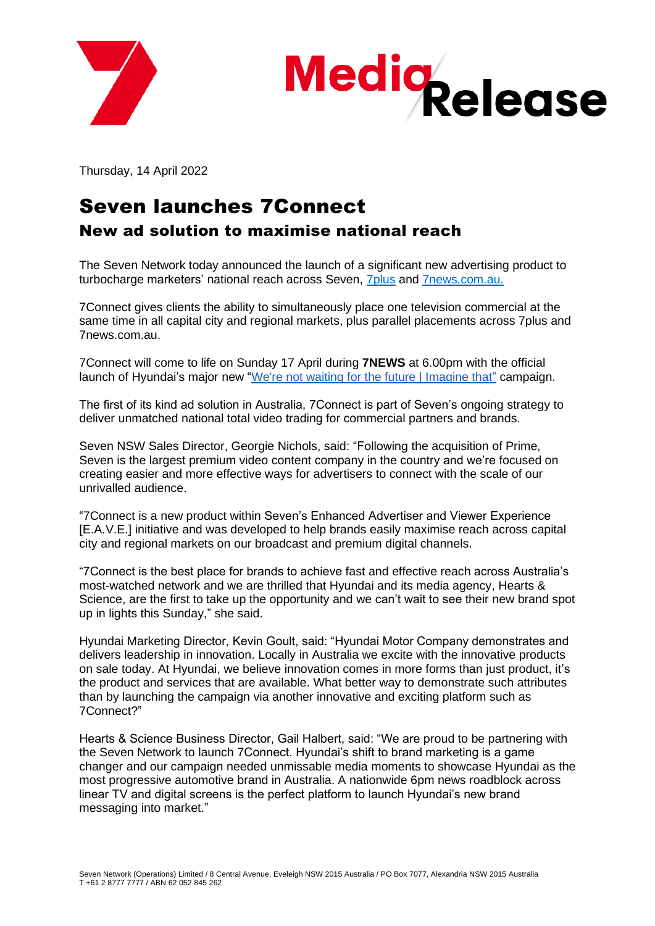



Thursday, 14 April 2022

## Seven launches 7Connect New ad solution to maximise national reach

The Seven Network today announced the launch of a significant new advertising product to turbocharge marketers' national reach across Seven, [7plus](http://www.7plus.com.au/) and [7news.com.au.](http://www.7news.com.au/)

7Connect gives clients the ability to simultaneously place one television commercial at the same time in all capital city and regional markets, plus parallel placements across 7plus and 7news.com.au.

7Connect will come to life on Sunday 17 April during **7NEWS** at 6.00pm with the official launch of Hyundai's major new ["We're not waiting for the future | Imagine that"](https://www.youtube.com/watch?v=TujtRxOL2MQ) campaign.

The first of its kind ad solution in Australia, 7Connect is part of Seven's ongoing strategy to deliver unmatched national total video trading for commercial partners and brands.

Seven NSW Sales Director, Georgie Nichols, said: "Following the acquisition of Prime, Seven is the largest premium video content company in the country and we're focused on creating easier and more effective ways for advertisers to connect with the scale of our unrivalled audience.

"7Connect is a new product within Seven's Enhanced Advertiser and Viewer Experience [E.A.V.E.] initiative and was developed to help brands easily maximise reach across capital city and regional markets on our broadcast and premium digital channels.

"7Connect is the best place for brands to achieve fast and effective reach across Australia's most-watched network and we are thrilled that Hyundai and its media agency, Hearts & Science, are the first to take up the opportunity and we can't wait to see their new brand spot up in lights this Sunday," she said.

Hyundai Marketing Director, Kevin Goult, said: "Hyundai Motor Company demonstrates and delivers leadership in innovation. Locally in Australia we excite with the innovative products on sale today. At Hyundai, we believe innovation comes in more forms than just product, it's the product and services that are available. What better way to demonstrate such attributes than by launching the campaign via another innovative and exciting platform such as 7Connect?"

Hearts & Science Business Director, Gail Halbert, said: "We are proud to be partnering with the Seven Network to launch 7Connect. Hyundai's shift to brand marketing is a game changer and our campaign needed unmissable media moments to showcase Hyundai as the most progressive automotive brand in Australia. A nationwide 6pm news roadblock across linear TV and digital screens is the perfect platform to launch Hyundai's new brand messaging into market."